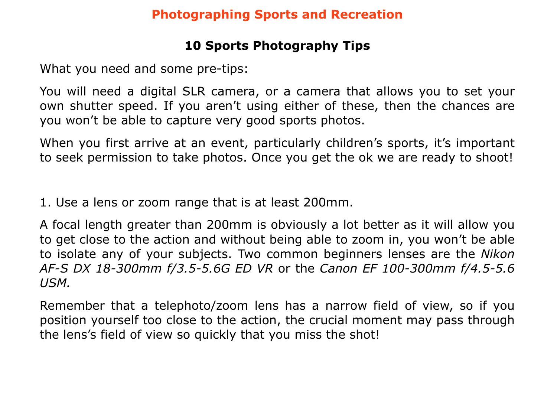#### **Photographing Sports and Recreation**

## **10 Sports Photography Tips**

What you need and some pre-tips:

You will need a digital SLR camera, or a camera that allows you to set your own shutter speed. If you aren't using either of these, then the chances are you won't be able to capture very good sports photos.

When you first arrive at an event, particularly children's sports, it's important to seek permission to take photos. Once you get the ok we are ready to shoot!

1. Use a lens or zoom range that is at least 200mm.

A focal length greater than 200mm is obviously a lot better as it will allow you to get close to the action and without being able to zoom in, you won't be able to isolate any of your subjects. Two common beginners lenses are the *Nikon AF-S DX 18-300mm f/3.5-5.6G ED VR* or the *Canon EF 100-300mm f/4.5-5.6 USM.*

Remember that a telephoto/zoom lens has a narrow field of view, so if you position yourself too close to the action, the crucial moment may pass through the lens's field of view so quickly that you miss the shot!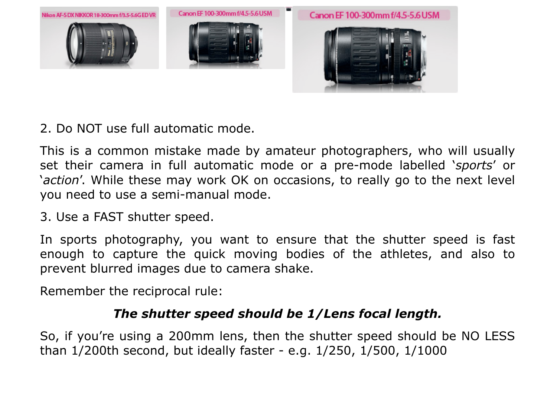

2. Do NOT use full automatic mode.

This is a common mistake made by amateur photographers, who will usually set their camera in full automatic mode or a pre-mode labelled '*sports*' or '*action*'. While these may work OK on occasions, to really go to the next level you need to use a semi-manual mode.

3. Use a FAST shutter speed.

In sports photography, you want to ensure that the shutter speed is fast enough to capture the quick moving bodies of the athletes, and also to prevent blurred images due to camera shake.

Remember the reciprocal rule:

## *The shutter speed should be 1/Lens focal length.*

So, if you're using a 200mm lens, then the shutter speed should be NO LESS than 1/200th second, but ideally faster - e.g. 1/250, 1/500, 1/1000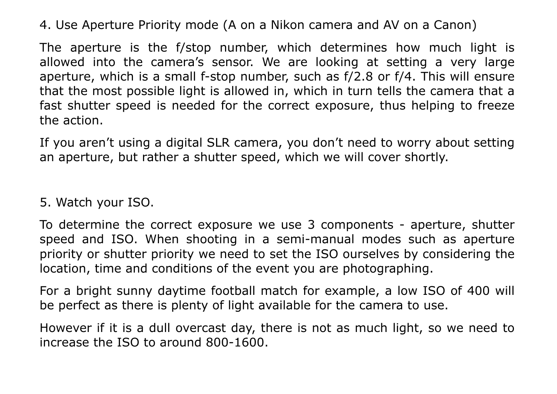4. Use Aperture Priority mode (A on a Nikon camera and AV on a Canon)

The aperture is the f/stop number, which determines how much light is allowed into the camera's sensor. We are looking at setting a very large aperture, which is a small f-stop number, such as f/2.8 or f/4. This will ensure that the most possible light is allowed in, which in turn tells the camera that a fast shutter speed is needed for the correct exposure, thus helping to freeze the action.

If you aren't using a digital SLR camera, you don't need to worry about setting an aperture, but rather a shutter speed, which we will cover shortly.

5. Watch your ISO.

To determine the correct exposure we use 3 components - aperture, shutter speed and ISO. When shooting in a semi-manual modes such as aperture priority or shutter priority we need to set the ISO ourselves by considering the location, time and conditions of the event you are photographing.

For a bright sunny daytime football match for example, a low ISO of 400 will be perfect as there is plenty of light available for the camera to use.

However if it is a dull overcast day, there is not as much light, so we need to increase the ISO to around 800-1600.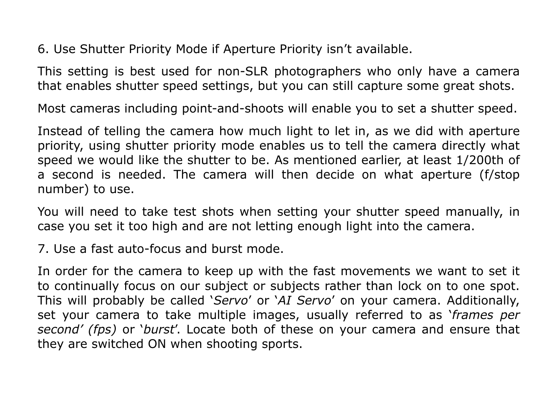6. Use Shutter Priority Mode if Aperture Priority isn't available.

This setting is best used for non-SLR photographers who only have a camera that enables shutter speed settings, but you can still capture some great shots.

Most cameras including point-and-shoots will enable you to set a shutter speed.

Instead of telling the camera how much light to let in, as we did with aperture priority, using shutter priority mode enables us to tell the camera directly what speed we would like the shutter to be. As mentioned earlier, at least 1/200th of a second is needed. The camera will then decide on what aperture (f/stop number) to use.

You will need to take test shots when setting your shutter speed manually, in case you set it too high and are not letting enough light into the camera.

7. Use a fast auto-focus and burst mode.

In order for the camera to keep up with the fast movements we want to set it to continually focus on our subject or subjects rather than lock on to one spot. This will probably be called '*Servo*' or '*AI Servo*' on your camera. Additionally, set your camera to take multiple images, usually referred to as '*frames per second' (fps)* or '*burst*'. Locate both of these on your camera and ensure that they are switched ON when shooting sports.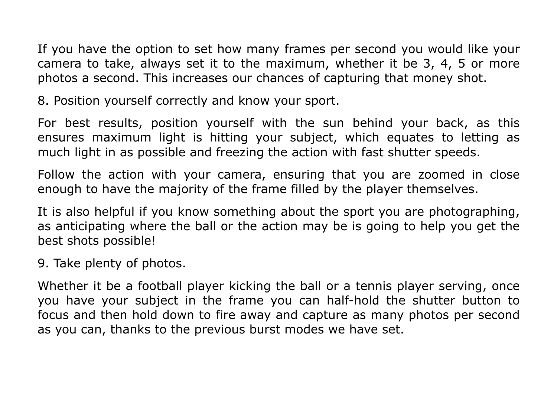If you have the option to set how many frames per second you would like your camera to take, always set it to the maximum, whether it be 3, 4, 5 or more photos a second. This increases our chances of capturing that money shot.

8. Position yourself correctly and know your sport.

For best results, position yourself with the sun behind your back, as this ensures maximum light is hitting your subject, which equates to letting as much light in as possible and freezing the action with fast shutter speeds.

Follow the action with your camera, ensuring that you are zoomed in close enough to have the majority of the frame filled by the player themselves.

It is also helpful if you know something about the sport you are photographing, as anticipating where the ball or the action may be is going to help you get the best shots possible!

9. Take plenty of photos.

Whether it be a football player kicking the ball or a tennis player serving, once you have your subject in the frame you can half-hold the shutter button to focus and then hold down to fire away and capture as many photos per second as you can, thanks to the previous burst modes we have set.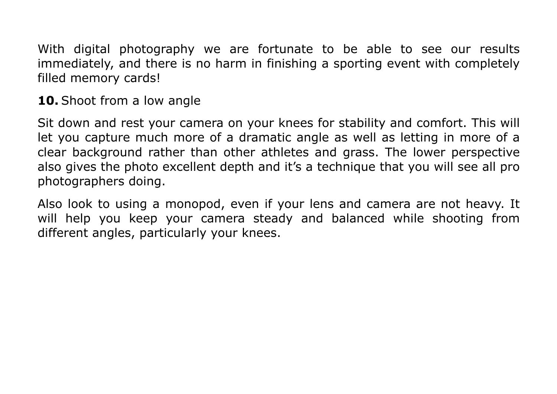With digital photography we are fortunate to be able to see our results immediately, and there is no harm in finishing a sporting event with completely filled memory cards!

**10.** Shoot from a low angle

Sit down and rest your camera on your knees for stability and comfort. This will let you capture much more of a dramatic angle as well as letting in more of a clear background rather than other athletes and grass. The lower perspective also gives the photo excellent depth and it's a technique that you will see all pro photographers doing.

Also look to using a monopod, even if your lens and camera are not heavy. It will help you keep your camera steady and balanced while shooting from different angles, particularly your knees.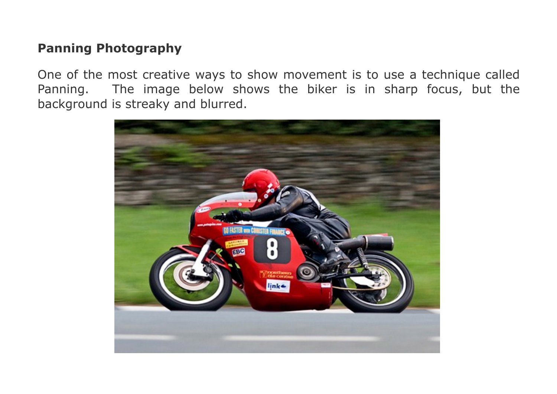## **Panning Photography**

One of the most creative ways to show movement is to use a technique called Panning. The image below shows the biker is in sharp focus, but the background is streaky and blurred.

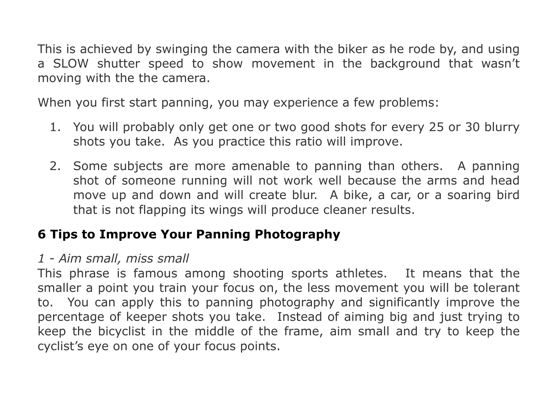This is achieved by swinging the camera with the biker as he rode by, and using a SLOW shutter speed to show movement in the background that wasn't moving with the the camera.

When you first start panning, you may experience a few problems:

- 1. You will probably only get one or two good shots for every 25 or 30 blurry shots you take. As you practice this ratio will improve.
- 2. Some subjects are more amenable to panning than others. A panning shot of someone running will not work well because the arms and head move up and down and will create blur. A bike, a car, or a soaring bird that is not flapping its wings will produce cleaner results.

## **6 Tips to Improve Your Panning Photography**

## *1 - Aim small, miss small*

This phrase is famous among shooting sports athletes. It means that the smaller a point you train your focus on, the less movement you will be tolerant to. You can apply this to panning photography and significantly improve the percentage of keeper shots you take. Instead of aiming big and just trying to keep the bicyclist in the middle of the frame, aim small and try to keep the cyclist's eye on one of your focus points.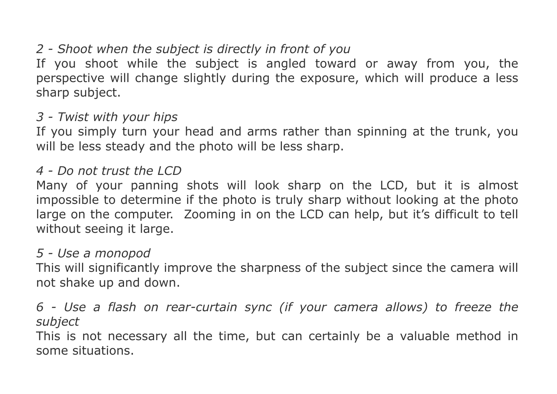# *2 - Shoot when the subject is directly in front of you*

If you shoot while the subject is angled toward or away from you, the perspective will change slightly during the exposure, which will produce a less sharp subject.

## *3 - Twist with your hips*

If you simply turn your head and arms rather than spinning at the trunk, you will be less steady and the photo will be less sharp.

#### *4 - Do not trust the LCD*

Many of your panning shots will look sharp on the LCD, but it is almost impossible to determine if the photo is truly sharp without looking at the photo large on the computer. Zooming in on the LCD can help, but it's difficult to tell without seeing it large.

#### *5 - Use a monopod*

This will significantly improve the sharpness of the subject since the camera will not shake up and down.

## *6 - Use a flash on rear-curtain sync (if your camera allows) to freeze the subject*

This is not necessary all the time, but can certainly be a valuable method in some situations.